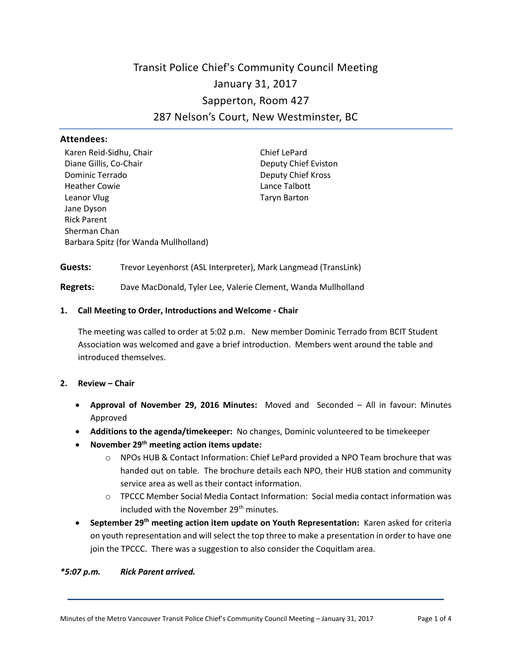# Transit Police Chief's Community Council Meeting January 31, 2017 Sapperton, Room 427 287 Nelson's Court, New Westminster, BC

#### **Attendees:**

Karen Reid-Sidhu, Chair Chief LePard Diane Gillis, Co-Chair **Deputy Chief Eviston** Dominic Terrado Deputy Chief Kross Heather Cowie **Lance Talbott** Leanor Vlug **Taryn Barton** Jane Dyson Rick Parent Sherman Chan Barbara Spitz (for Wanda Mullholland)

**Guests:** Trevor Leyenhorst (ASL Interpreter), Mark Langmead (TransLink)

**Regrets:** Dave MacDonald, Tyler Lee, Valerie Clement, Wanda Mullholland

#### **1. Call Meeting to Order, Introductions and Welcome - Chair**

The meeting was called to order at 5:02 p.m. New member Dominic Terrado from BCIT Student Association was welcomed and gave a brief introduction. Members went around the table and introduced themselves.

#### **2. Review – Chair**

- **Approval of November 29, 2016 Minutes:** Moved and Seconded All in favour: Minutes Approved
- **Additions to the agenda/timekeeper:** No changes, Dominic volunteered to be timekeeper
- **November 29th meeting action items update:**
	- o NPOs HUB & Contact Information: Chief LePard provided a NPO Team brochure that was handed out on table. The brochure details each NPO, their HUB station and community service area as well as their contact information.
	- $\circ$  TPCCC Member Social Media Contact Information: Social media contact information was included with the November 29<sup>th</sup> minutes.
- **September 29th meeting action item update on Youth Representation:** Karen asked for criteria on youth representation and will select the top three to make a presentation in order to have one join the TPCCC. There was a suggestion to also consider the Coquitlam area.

#### *\*5:07 p.m. Rick Parent arrived.*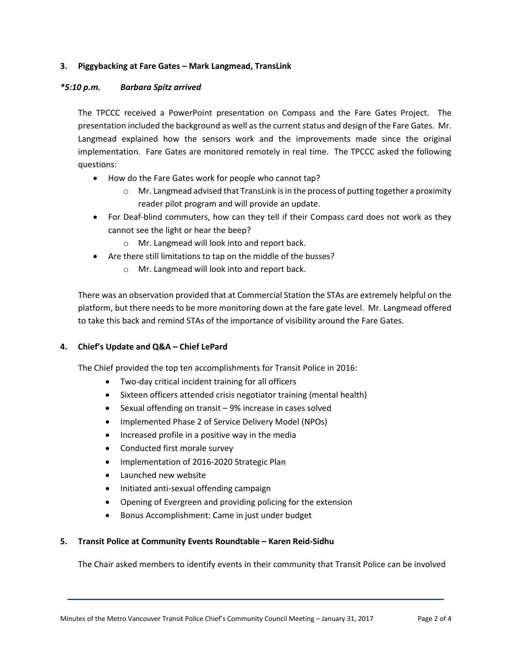# **3. Piggybacking at Fare Gates – Mark Langmead, TransLink**

# *\*5:10 p.m. Barbara Spitz arrived*

The TPCCC received a PowerPoint presentation on Compass and the Fare Gates Project. The presentation included the background as well as the current status and design of the Fare Gates. Mr. Langmead explained how the sensors work and the improvements made since the original implementation. Fare Gates are monitored remotely in real time. The TPCCC asked the following questions:

- How do the Fare Gates work for people who cannot tap?
	- o Mr. Langmead advised that TransLink is in the process of putting together a proximity reader pilot program and will provide an update.
- For Deaf-blind commuters, how can they tell if their Compass card does not work as they cannot see the light or hear the beep?
	- o Mr. Langmead will look into and report back.
- Are there still limitations to tap on the middle of the busses?
	- o Mr. Langmead will look into and report back.

There was an observation provided that at Commercial Station the STAs are extremely helpful on the platform, but there needs to be more monitoring down at the fare gate level. Mr. Langmead offered to take this back and remind STAs of the importance of visibility around the Fare Gates.

# **4. Chief's Update and Q&A – Chief LePard**

The Chief provided the top ten accomplishments for Transit Police in 2016:

- Two-day critical incident training for all officers
- Sixteen officers attended crisis negotiator training (mental health)
- Sexual offending on transit 9% increase in cases solved
- Implemented Phase 2 of Service Delivery Model (NPOs)
- Increased profile in a positive way in the media
- Conducted first morale survey
- Implementation of 2016-2020 Strategic Plan
- Launched new website
- Initiated anti-sexual offending campaign
- Opening of Evergreen and providing policing for the extension
- Bonus Accomplishment: Came in just under budget

# **5. Transit Police at Community Events Roundtable – Karen Reid-Sidhu**

The Chair asked members to identify events in their community that Transit Police can be involved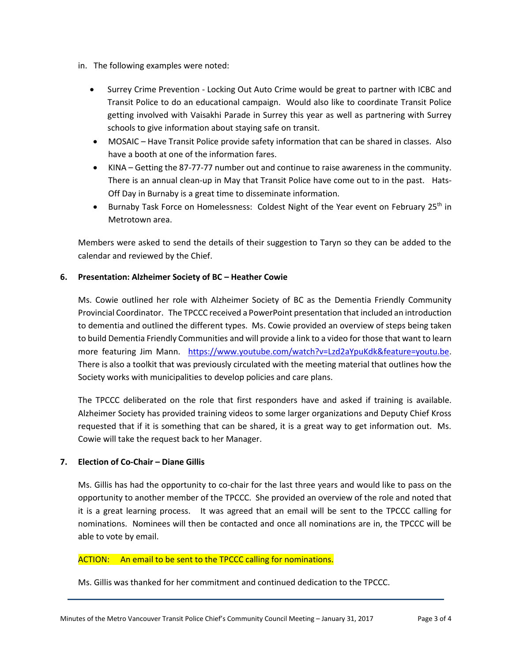- in. The following examples were noted:
	- Surrey Crime Prevention Locking Out Auto Crime would be great to partner with ICBC and Transit Police to do an educational campaign. Would also like to coordinate Transit Police getting involved with Vaisakhi Parade in Surrey this year as well as partnering with Surrey schools to give information about staying safe on transit.
	- MOSAIC Have Transit Police provide safety information that can be shared in classes. Also have a booth at one of the information fares.
	- KINA Getting the 87-77-77 number out and continue to raise awareness in the community. There is an annual clean-up in May that Transit Police have come out to in the past. Hats-Off Day in Burnaby is a great time to disseminate information.
	- Burnaby Task Force on Homelessness: Coldest Night of the Year event on February 25<sup>th</sup> in Metrotown area.

Members were asked to send the details of their suggestion to Taryn so they can be added to the calendar and reviewed by the Chief.

# **6. Presentation: Alzheimer Society of BC – Heather Cowie**

Ms. Cowie outlined her role with Alzheimer Society of BC as the Dementia Friendly Community Provincial Coordinator. The TPCCC received a PowerPoint presentation that included an introduction to dementia and outlined the different types. Ms. Cowie provided an overview of steps being taken to build Dementia Friendly Communities and will provide a link to a video for those that want to learn more featuring Jim Mann. [https://www.youtube.com/watch?v=Lzd2aYpuKdk&feature=youtu.be.](https://www.youtube.com/watch?v=Lzd2aYpuKdk&feature=youtu.be) There is also a toolkit that was previously circulated with the meeting material that outlines how the Society works with municipalities to develop policies and care plans.

The TPCCC deliberated on the role that first responders have and asked if training is available. Alzheimer Society has provided training videos to some larger organizations and Deputy Chief Kross requested that if it is something that can be shared, it is a great way to get information out. Ms. Cowie will take the request back to her Manager.

# **7. Election of Co-Chair – Diane Gillis**

Ms. Gillis has had the opportunity to co-chair for the last three years and would like to pass on the opportunity to another member of the TPCCC. She provided an overview of the role and noted that it is a great learning process. It was agreed that an email will be sent to the TPCCC calling for nominations. Nominees will then be contacted and once all nominations are in, the TPCCC will be able to vote by email.

# ACTION: An email to be sent to the TPCCC calling for nominations.

Ms. Gillis was thanked for her commitment and continued dedication to the TPCCC.